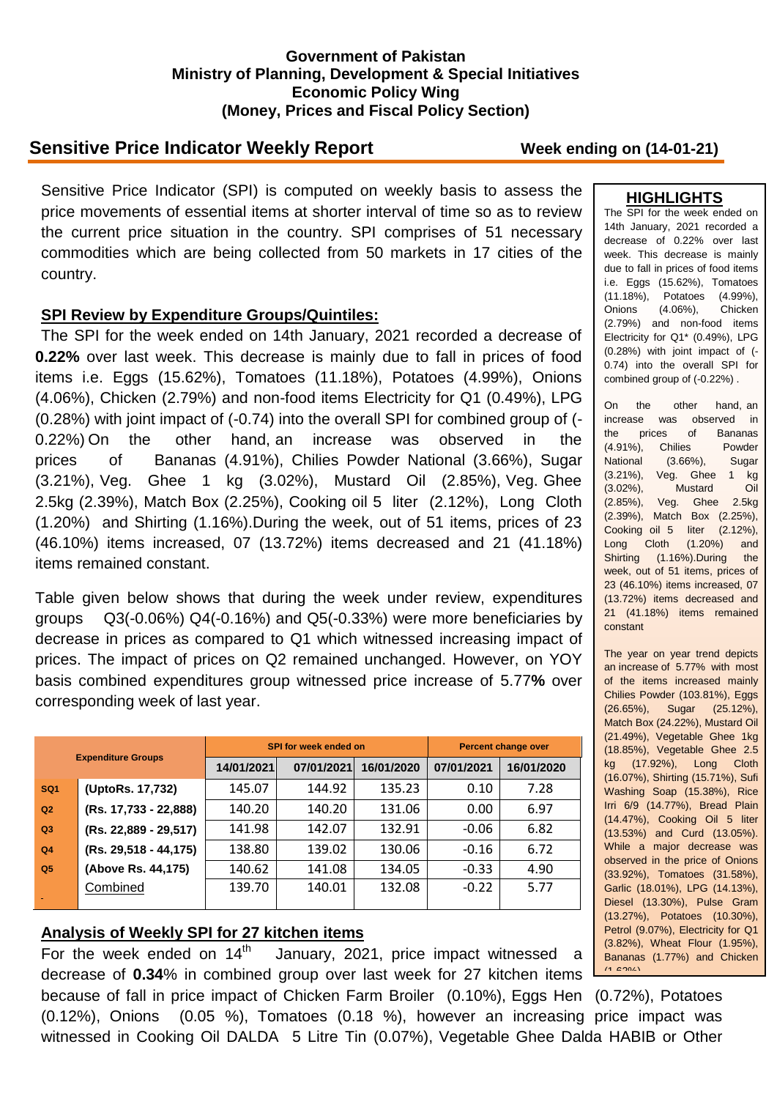### **Government of Pakistan Ministry of Planning, Development & Special Initiatives Economic Policy Wing (Money, Prices and Fiscal Policy Section)**

# **Sensitive Price Indicator Weekly Report Week ending on (14-01-21)**

Sensitive Price Indicator (SPI) is computed on weekly basis to assess the price movements of essential items at shorter interval of time so as to review the current price situation in the country. SPI comprises of 51 necessary commodities which are being collected from 50 markets in 17 cities of the country.

### **SPI Review by Expenditure Groups/Quintiles:**

The SPI for the week ended on 14th January, 2021 recorded a decrease of **0.22%** over last week. This decrease is mainly due to fall in prices of food items i.e. Eggs (15.62%), Tomatoes (11.18%), Potatoes (4.99%), Onions (4.06%), Chicken (2.79%) and non-food items Electricity for Q1 (0.49%), LPG (0.28%) with joint impact of (-0.74) into the overall SPI for combined group of (- 0.22%) On the other hand, an increase was observed in the prices of Bananas (4.91%), Chilies Powder National (3.66%), Sugar (3.21%), Veg. Ghee 1 kg (3.02%), Mustard Oil (2.85%), Veg. Ghee 2.5kg (2.39%), Match Box (2.25%), Cooking oil 5 liter (2.12%), Long Cloth (1.20%) and Shirting (1.16%).During the week, out of 51 items, prices of 23 (46.10%) items increased, 07 (13.72%) items decreased and 21 (41.18%) items remained constant.

Table given below shows that during the week under review, expenditures groups Q3(-0.06%) Q4(-0.16%) and Q5(-0.33%) were more beneficiaries by decrease in prices as compared to Q1 which witnessed increasing impact of prices. The impact of prices on Q2 remained unchanged. However, on YOY basis combined expenditures group witnessed price increase of 5.77**%** over corresponding week of last year.

| <b>Expenditure Groups</b> |                       |            | SPI for week ended on | <b>Percent change over</b> |            |            |
|---------------------------|-----------------------|------------|-----------------------|----------------------------|------------|------------|
|                           |                       | 14/01/2021 | 07/01/2021            | 16/01/2020                 | 07/01/2021 | 16/01/2020 |
| SQ <sub>1</sub>           | (UptoRs. 17,732)      | 145.07     | 144.92                | 135.23                     | 0.10       | 7.28       |
| Q <sub>2</sub>            | (Rs. 17,733 - 22,888) | 140.20     | 140.20                | 131.06                     | 0.00       | 6.97       |
| Q3                        | (Rs. 22,889 - 29,517) | 141.98     | 142.07                | 132.91                     | $-0.06$    | 6.82       |
| Q <sub>4</sub>            | (Rs. 29,518 - 44,175) | 138.80     | 139.02                | 130.06                     | $-0.16$    | 6.72       |
| Q <sub>5</sub>            | (Above Rs. 44,175)    | 140.62     | 141.08                | 134.05                     | $-0.33$    | 4.90       |
|                           | Combined              | 139.70     | 140.01                | 132.08                     | $-0.22$    | 5.77       |

## **Analysis of Weekly SPI for 27 kitchen items**

For the week ended on  $14<sup>th</sup>$  January, 2021, price impact witnessed a decrease of **0.34**% in combined group over last week for 27 kitchen items because of fall in price impact of Chicken Farm Broiler (0.10%), Eggs Hen (0.72%), Potatoes (0.12%), Onions (0.05 %), Tomatoes (0.18 %), however an increasing price impact was witnessed in Cooking Oil DALDA 5 Litre Tin (0.07%), Vegetable Ghee Dalda HABIB or Other

### **HIGHLIGHTS**

The SPI for the week ended on 14th January, 2021 recorded a decrease of 0.22% over last week. This decrease is mainly due to fall in prices of food items i.e. Eggs (15.62%), Tomatoes (11.18%), Potatoes (4.99%), Onions (4.06%), Chicken (2.79%) and non-food items Electricity for Q1\* (0.49%), LPG (0.28%) with joint impact of (- 0.74) into the overall SPI for combined group of (-0.22%) .

On the other hand, an increase was observed in the prices of Bananas (4.91%), Chilies Powder National (3.66%), Sugar (3.21%), Veg. Ghee 1 kg (3.02%), Mustard Oil (2.85%), Veg. Ghee 2.5kg (2.39%), Match Box (2.25%), Cooking oil 5 liter (2.12%), Long Cloth (1.20%) and Shirting (1.16%).During the week, out of 51 items, prices of 23 (46.10%) items increased, 07 (13.72%) items decreased and 21 (41.18%) items remained constant

The year on year trend depicts an increase of 5.77% with most of the items increased mainly Chilies Powder (103.81%), Eggs (26.65%), Sugar (25.12%), Match Box (24.22%), Mustard Oil (21.49%), Vegetable Ghee 1kg (18.85%), Vegetable Ghee 2.5 kg (17.92%), Long Cloth (16.07%), Shirting (15.71%), Sufi Washing Soap (15.38%), Rice Irri 6/9 (14.77%), Bread Plain (14.47%), Cooking Oil 5 liter (13.53%) and Curd (13.05%). While a major decrease was observed in the price of Onions (33.92%), Tomatoes (31.58%), Garlic (18.01%), LPG (14.13%), Diesel (13.30%), Pulse Gram (13.27%), Potatoes (10.30%), Petrol (9.07%), Electricity for Q1 (3.82%), Wheat Flour (1.95%), Bananas (1.77%) and Chicken  $(1.6200)$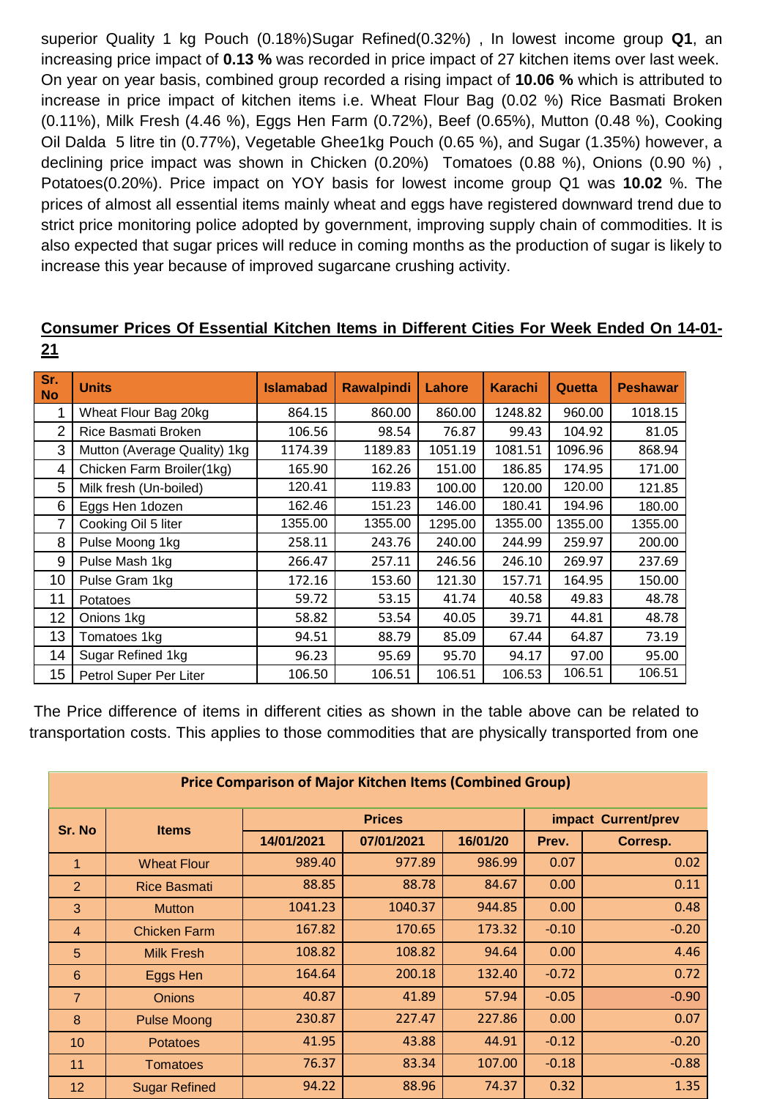superior Quality 1 kg Pouch (0.18%)Sugar Refined(0.32%) , In lowest income group **Q1**, an increasing price impact of **0.13 %** was recorded in price impact of 27 kitchen items over last week. On year on year basis, combined group recorded a rising impact of **10.06 %** which is attributed to increase in price impact of kitchen items i.e. Wheat Flour Bag (0.02 %) Rice Basmati Broken (0.11%), Milk Fresh (4.46 %), Eggs Hen Farm (0.72%), Beef (0.65%), Mutton (0.48 %), Cooking Oil Dalda 5 litre tin (0.77%), Vegetable Ghee1kg Pouch (0.65 %), and Sugar (1.35%) however, a declining price impact was shown in Chicken (0.20%) Tomatoes (0.88 %), Onions (0.90 %) , Potatoes(0.20%). Price impact on YOY basis for lowest income group Q1 was **10.02** %. The prices of almost all essential items mainly wheat and eggs have registered downward trend due to strict price monitoring police adopted by government, improving supply chain of commodities. It is also expected that sugar prices will reduce in coming months as the production of sugar is likely to increase this year because of improved sugarcane crushing activity.

### **Sr. No Units Islamabad Rawalpindi Lahore Karachi Quetta Peshawar** 1 | Wheat Flour Bag 20kg | 864.15 | 860.00 | 860.00 | 1248.82 | 960.00 | 1018.15 2 Rice Basmati Broken | 106.56 | 98.54 | 76.87 | 99.43 | 104.92 | 81.05 3 | Mutton (Average Quality) 1kg | 1174.39 | 1189.83 | 1051.19 | 1081.51 | 1096.96 | 868.94 4 Chicken Farm Broiler(1kg) | 165.90 | 162.26 | 151.00 | 186.85 | 174.95 | 171.00 5 Milk fresh (Un-boiled) 120.41 119.83 100.00 120.00 120.00 121.85 6 Eggs Hen 1dozen | 162.46 | 151.23 | 146.00 | 180.41 | 194.96 | 180.00 7 Cooking Oil 5 liter 1355.00 1355.00 1295.00 1355.00 1355.00 1355.00 8 Pulse Moong 1kg 258.11 243.76 240.00 244.99 259.97 200.00 9 Pulse Mash 1kg 266.47 257.11 246.56 246.10 269.97 237.69 10 Pulse Gram 1kg 172.16 153.60 121.30 157.71 164.95 150.00 11 Potatoes 59.72 53.15 41.74 40.58 49.83 48.78 12 Onions 1kg 58.82 53.54 40.05 39.71 44.81 48.78 13 Tomatoes 1kg 94.51 88.79 85.09 67.44 64.87 73.19 14 Sugar Refined 1kg | 96.23 | 95.69 | 95.70 | 94.17 | 97.00 | 95.00 15 | Petrol Super Per Liter | 106.50 | 106.51 | 106.51 | 106.53 | 106.51 | 106.51

# **Consumer Prices Of Essential Kitchen Items in Different Cities For Week Ended On 14-01- 21**

The Price difference of items in different cities as shown in the table above can be related to transportation costs. This applies to those commodities that are physically transported from one

| <b>Price Comparison of Major Kitchen Items (Combined Group)</b> |                      |               |            |          |                     |          |  |  |  |  |
|-----------------------------------------------------------------|----------------------|---------------|------------|----------|---------------------|----------|--|--|--|--|
| Sr. No                                                          | <b>Items</b>         | <b>Prices</b> |            |          | impact Current/prev |          |  |  |  |  |
|                                                                 |                      | 14/01/2021    | 07/01/2021 | 16/01/20 | Prev.               | Corresp. |  |  |  |  |
| $\overline{1}$                                                  | <b>Wheat Flour</b>   | 989.40        | 977.89     | 986.99   | 0.07                | 0.02     |  |  |  |  |
| $\overline{2}$                                                  | <b>Rice Basmati</b>  | 88.85         | 88.78      | 84.67    | 0.00                | 0.11     |  |  |  |  |
| 3                                                               | <b>Mutton</b>        | 1041.23       | 1040.37    | 944.85   | 0.00                | 0.48     |  |  |  |  |
| $\overline{4}$                                                  | <b>Chicken Farm</b>  | 167.82        | 170.65     | 173.32   | $-0.10$             | $-0.20$  |  |  |  |  |
| 5                                                               | <b>Milk Fresh</b>    | 108.82        | 108.82     | 94.64    | 0.00                | 4.46     |  |  |  |  |
| 6                                                               | Eggs Hen             | 164.64        | 200.18     | 132.40   | $-0.72$             | 0.72     |  |  |  |  |
| $\overline{7}$                                                  | <b>Onions</b>        | 40.87         | 41.89      | 57.94    | $-0.05$             | $-0.90$  |  |  |  |  |
| 8                                                               | <b>Pulse Moong</b>   | 230.87        | 227.47     | 227.86   | 0.00                | 0.07     |  |  |  |  |
| 10                                                              | <b>Potatoes</b>      | 41.95         | 43.88      | 44.91    | $-0.12$             | $-0.20$  |  |  |  |  |
| 11                                                              | <b>Tomatoes</b>      | 76.37         | 83.34      | 107.00   | $-0.18$             | $-0.88$  |  |  |  |  |
| 12                                                              | <b>Sugar Refined</b> | 94.22         | 88.96      | 74.37    | 0.32                | 1.35     |  |  |  |  |